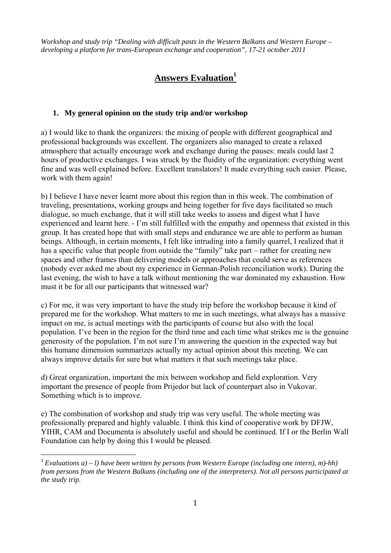*Workshop and study trip "Dealing with difficult pasts in the Western Balkans and Western Europe – developing a platform for trans-European exchange and cooperation", 17-21 october 2011* 

# **Answers Evaluation1**

### **1. My general opinion on the study trip and/or workshop**

a) I would like to thank the organizers: the mixing of people with different geographical and professional backgrounds was excellent. The organizers also managed to create a relaxed atmosphere that actually encourage work and exchange during the pauses: meals could last 2 hours of productive exchanges. I was struck by the fluidity of the organization: everything went fine and was well explained before. Excellent translators! It made everything such easier. Please, work with them again!

b) I believe I have never learnt more about this region than in this week. The combination of traveling, presentations, working groups and being together for five days facilitated so much dialogue, so much exchange, that it will still take weeks to assess and digest what I have experienced and learnt here. - I'm still fulfilled with the empathy and openness that existed in this group. It has created hope that with small steps and endurance we are able to perform as human beings. Although, in certain moments, I felt like intruding into a family quarrel, I realized that it has a specific value that people from outside the "family" take part – rather for creating new spaces and other frames than delivering models or approaches that could serve as references (nobody ever asked me about my experience in German-Polish reconciliation work). During the last evening, the wish to have a talk without mentioning the war dominated my exhaustion. How must it be for all our participants that witnessed war?

c) For me, it was very important to have the study trip before the workshop because it kind of prepared me for the workshop. What matters to me in such meetings, what always has a massive impact on me, is actual meetings with the participants of course but also with the local population. I've been in the region for the third time and each time what strikes me is the genuine generosity of the population. I'm not sure I'm answering the question in the expected way but this humane dimension summarizes actually my actual opinion about this meeting. We can always improve details for sure but what matters it that such meetings take place.

d) Great organization, important the mix between workshop and field exploration. Very important the presence of people from Prijedor but lack of counterpart also in Vukovar. Something which is to improve.

e) The combination of workshop and study trip was very useful. The whole meeting was professionally prepared and highly valuable. I think this kind of cooperative work by DFJW, YIHR, CAM and Documenta is absolutely useful and should be continued. If I or the Berlin Wall Foundation can help by doing this I would be pleased.

 $1$  *Evaluations a) – l) have been written by persons from Western Europe (including one intern), m)-hh) from persons from the Western Balkans (including one of the interpreters). Not all persons participated at the study trip.*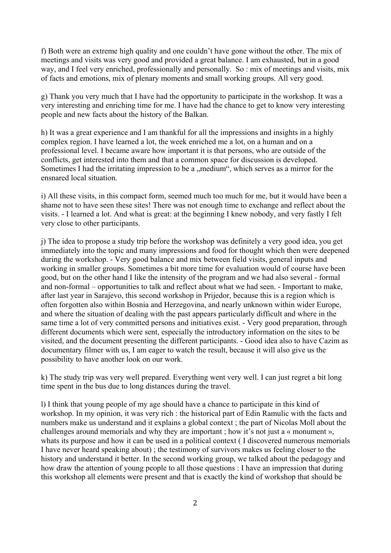f) Both were an extreme high quality and one couldn't have gone without the other. The mix of meetings and visits was very good and provided a great balance. I am exhausted, but in a good way, and I feel very enriched, professionally and personally. So : mix of meetings and visits, mix of facts and emotions, mix of plenary moments and small working groups. All very good.

g) Thank you very much that I have had the opportunity to participate in the workshop. It was a very interesting and enriching time for me. I have had the chance to get to know very interesting people and new facts about the history of the Balkan.

h) It was a great experience and I am thankful for all the impressions and insights in a highly complex region. I have learned a lot, the week enriched me a lot, on a human and on a professional level. I became aware how important it is that persons, who are outside of the conflicts, get interested into them and that a common space for discussion is developed. Sometimes I had the irritating impression to be a "medium", which serves as a mirror for the ensnared local situation.

i) All these visits, in this compact form, seemed much too much for me, but it would have been a shame not to have seen these sites! There was not enough time to exchange and reflect about the visits. - I learned a lot. And what is great: at the beginning I knew nobody, and very fastly I felt very close to other participants.

j) The idea to propose a study trip before the workshop was definitely a very good idea, you get immediately into the topic and many impressions and food for thought which then were deepened during the workshop. - Very good balance and mix between field visits, general inputs and working in smaller groups. Sometimes a bit more time for evaluation would of course have been good, but on the other hand I like the intensity of the program and we had also several - formal and non-formal – opportunities to talk and reflect about what we had seen. - Important to make, after last year in Sarajevo, this second workshop in Prijedor, because this is a region which is often forgotten also within Bosnia and Herzegovina, and nearly unknown within wider Europe, and where the situation of dealing with the past appears particularly difficult and where in the same time a lot of very committed persons and initiatives exist. - Very good preparation, through different documents which were sent, especially the introductory information on the sites to be visited, and the document presenting the different participants. - Good idea also to have Cazim as documentary filmer with us, I am eager to watch the result, because it will also give us the possibility to have another look on our work.

k) The study trip was very well prepared. Everything went very well. I can just regret a bit long time spent in the bus due to long distances during the travel.

l) I think that young people of my age should have a chance to participate in this kind of workshop. In my opinion, it was very rich : the historical part of Edin Ramulic with the facts and numbers make us understand and it explains a global context ; the part of Nicolas Moll about the challenges around memorials and why they are important ; how it's not just a « monument », whats its purpose and how it can be used in a political context ( I discovered numerous memorials I have never heard speaking about) ; the testimony of survivors makes us feeling closer to the history and understand it better. In the second working group, we talked about the pedagogy and how draw the attention of young people to all those questions : I have an impression that during this workshop all elements were present and that is exactly the kind of workshop that should be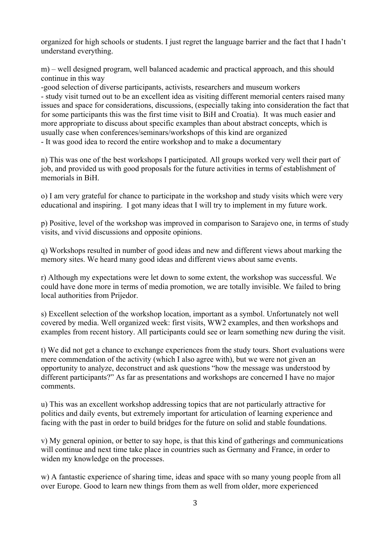organized for high schools or students. I just regret the language barrier and the fact that I hadn't understand everything.

m) – well designed program, well balanced academic and practical approach, and this should continue in this way

-good selection of diverse participants, activists, researchers and museum workers - study visit turned out to be an excellent idea as visiting different memorial centers raised many issues and space for considerations, discussions, (especially taking into consideration the fact that for some participants this was the first time visit to BiH and Croatia). It was much easier and more appropriate to discuss about specific examples than about abstract concepts, which is usually case when conferences/seminars/workshops of this kind are organized - It was good idea to record the entire workshop and to make a documentary

n) This was one of the best workshops I participated. All groups worked very well their part of job, and provided us with good proposals for the future activities in terms of establishment of memorials in BiH.

o) I am very grateful for chance to participate in the workshop and study visits which were very educational and inspiring. I got many ideas that I will try to implement in my future work.

p) Positive, level of the workshop was improved in comparison to Sarajevo one, in terms of study visits, and vivid discussions and opposite opinions.

q) Workshops resulted in number of good ideas and new and different views about marking the memory sites. We heard many good ideas and different views about same events.

r) Although my expectations were let down to some extent, the workshop was successful. We could have done more in terms of media promotion, we are totally invisible. We failed to bring local authorities from Prijedor.

s) Excellent selection of the workshop location, important as a symbol. Unfortunately not well covered by media. Well organized week: first visits, WW2 examples, and then workshops and examples from recent history. All participants could see or learn something new during the visit.

t) We did not get a chance to exchange experiences from the study tours. Short evaluations were mere commendation of the activity (which I also agree with), but we were not given an opportunity to analyze, deconstruct and ask questions "how the message was understood by different participants?" As far as presentations and workshops are concerned I have no major comments.

u) This was an excellent workshop addressing topics that are not particularly attractive for politics and daily events, but extremely important for articulation of learning experience and facing with the past in order to build bridges for the future on solid and stable foundations.

v) My general opinion, or better to say hope, is that this kind of gatherings and communications will continue and next time take place in countries such as Germany and France, in order to widen my knowledge on the processes.

w) A fantastic experience of sharing time, ideas and space with so many young people from all over Europe. Good to learn new things from them as well from older, more experienced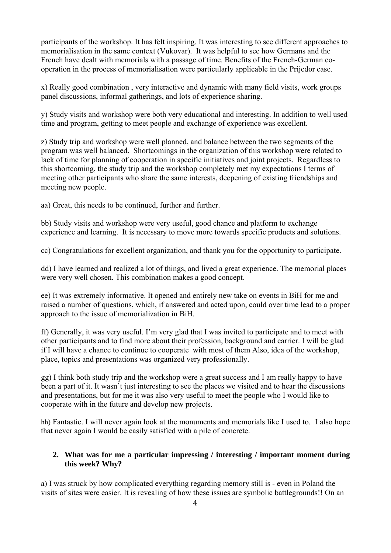participants of the workshop. It has felt inspiring. It was interesting to see different approaches to memorialisation in the same context (Vukovar). It was helpful to see how Germans and the French have dealt with memorials with a passage of time. Benefits of the French-German cooperation in the process of memorialisation were particularly applicable in the Prijedor case.

x) Really good combination , very interactive and dynamic with many field visits, work groups panel discussions, informal gatherings, and lots of experience sharing.

y) Study visits and workshop were both very educational and interesting. In addition to well used time and program, getting to meet people and exchange of experience was excellent.

z) Study trip and workshop were well planned, and balance between the two segments of the program was well balanced. Shortcomings in the organization of this workshop were related to lack of time for planning of cooperation in specific initiatives and joint projects. Regardless to this shortcoming, the study trip and the workshop completely met my expectations I terms of meeting other participants who share the same interests, deepening of existing friendships and meeting new people.

aa) Great, this needs to be continued, further and further.

bb) Study visits and workshop were very useful, good chance and platform to exchange experience and learning. It is necessary to move more towards specific products and solutions.

cc) Congratulations for excellent organization, and thank you for the opportunity to participate.

dd) I have learned and realized a lot of things, and lived a great experience. The memorial places were very well chosen. This combination makes a good concept.

ee) It was extremely informative. It opened and entirely new take on events in BiH for me and raised a number of questions, which, if answered and acted upon, could over time lead to a proper approach to the issue of memorialization in BiH.

ff) Generally, it was very useful. I'm very glad that I was invited to participate and to meet with other participants and to find more about their profession, background and carrier. I will be glad if I will have a chance to continue to cooperate with most of them Also, idea of the workshop, place, topics and presentations was organized very professionally.

gg) I think both study trip and the workshop were a great success and I am really happy to have been a part of it. It wasn't just interesting to see the places we visited and to hear the discussions and presentations, but for me it was also very useful to meet the people who I would like to cooperate with in the future and develop new projects.

hh) Fantastic. I will never again look at the monuments and memorials like I used to. I also hope that never again I would be easily satisfied with a pile of concrete.

#### **2. What was for me a particular impressing / interesting / important moment during this week? Why?**

a) I was struck by how complicated everything regarding memory still is - even in Poland the visits of sites were easier. It is revealing of how these issues are symbolic battlegrounds!! On an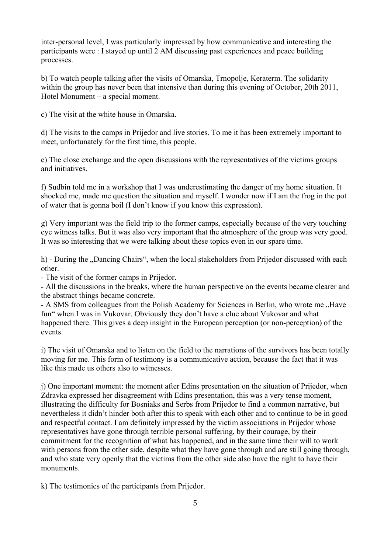inter-personal level, I was particularly impressed by how communicative and interesting the participants were : I stayed up until 2 AM discussing past experiences and peace building processes.

b) To watch people talking after the visits of Omarska, Trnopolje, Keraterm. The solidarity within the group has never been that intensive than during this evening of October, 20th 2011, Hotel Monument – a special moment.

c) The visit at the white house in Omarska.

d) The visits to the camps in Prijedor and live stories. To me it has been extremely important to meet, unfortunately for the first time, this people.

e) The close exchange and the open discussions with the representatives of the victims groups and initiatives.

f) Sudbin told me in a workshop that I was underestimating the danger of my home situation. It shocked me, made me question the situation and myself. I wonder now if I am the frog in the pot of water that is gonna boil (I don't know if you know this expression).

g) Very important was the field trip to the former camps, especially because of the very touching eye witness talks. But it was also very important that the atmosphere of the group was very good. It was so interesting that we were talking about these topics even in our spare time.

h) - During the "Dancing Chairs", when the local stakeholders from Prijedor discussed with each other.

- The visit of the former camps in Prijedor.

- All the discussions in the breaks, where the human perspective on the events became clearer and the abstract things became concrete.

- A SMS from colleagues from the Polish Academy for Sciences in Berlin, who wrote me "Have fun" when I was in Vukovar. Obviously they don't have a clue about Vukovar and what happened there. This gives a deep insight in the European perception (or non-perception) of the events.

i) The visit of Omarska and to listen on the field to the narrations of the survivors has been totally moving for me. This form of testimony is a communicative action, because the fact that it was like this made us others also to witnesses.

j) One important moment: the moment after Edins presentation on the situation of Prijedor, when Zdravka expressed her disagreement with Edins presentation, this was a very tense moment, illustrating the difficulty for Bosniaks and Serbs from Prijedor to find a common narrative, but nevertheless it didn't hinder both after this to speak with each other and to continue to be in good and respectful contact. I am definitely impressed by the victim associations in Prijedor whose representatives have gone through terrible personal suffering, by their courage, by their commitment for the recognition of what has happened, and in the same time their will to work with persons from the other side, despite what they have gone through and are still going through. and who state very openly that the victims from the other side also have the right to have their monuments.

k) The testimonies of the participants from Prijedor.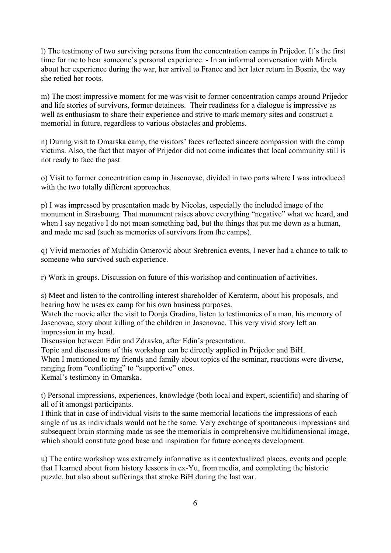l) The testimony of two surviving persons from the concentration camps in Prijedor. It's the first time for me to hear someone's personal experience. - In an informal conversation with Mirela about her experience during the war, her arrival to France and her later return in Bosnia, the way she retied her roots.

m) The most impressive moment for me was visit to former concentration camps around Prijedor and life stories of survivors, former detainees. Their readiness for a dialogue is impressive as well as enthusiasm to share their experience and strive to mark memory sites and construct a memorial in future, regardless to various obstacles and problems.

n) During visit to Omarska camp, the visitors' faces reflected sincere compassion with the camp victims. Also, the fact that mayor of Prijedor did not come indicates that local community still is not ready to face the past.

o) Visit to former concentration camp in Jasenovac, divided in two parts where I was introduced with the two totally different approaches.

p) I was impressed by presentation made by Nicolas, especially the included image of the monument in Strasbourg. That monument raises above everything "negative" what we heard, and when I say negative I do not mean something bad, but the things that put me down as a human, and made me sad (such as memories of survivors from the camps).

q) Vivid memories of Muhidin Omerović about Srebrenica events, I never had a chance to talk to someone who survived such experience.

r) Work in groups. Discussion on future of this workshop and continuation of activities.

s) Meet and listen to the controlling interest shareholder of Keraterm, about his proposals, and hearing how he uses ex camp for his own business purposes.

Watch the movie after the visit to Donja Gradina, listen to testimonies of a man, his memory of Jasenovac, story about killing of the children in Jasenovac. This very vivid story left an impression in my head.

Discussion between Edin and Zdravka, after Edin's presentation.

Topic and discussions of this workshop can be directly applied in Prijedor and BiH.

When I mentioned to my friends and family about topics of the seminar, reactions were diverse, ranging from "conflicting" to "supportive" ones.

Kemal's testimony in Omarska.

t) Personal impressions, experiences, knowledge (both local and expert, scientific) and sharing of all of it amongst participants.

I think that in case of individual visits to the same memorial locations the impressions of each single of us as individuals would not be the same. Very exchange of spontaneous impressions and subsequent brain storming made us see the memorials in comprehensive multidimensional image, which should constitute good base and inspiration for future concepts development.

u) The entire workshop was extremely informative as it contextualized places, events and people that I learned about from history lessons in ex-Yu, from media, and completing the historic puzzle, but also about sufferings that stroke BiH during the last war.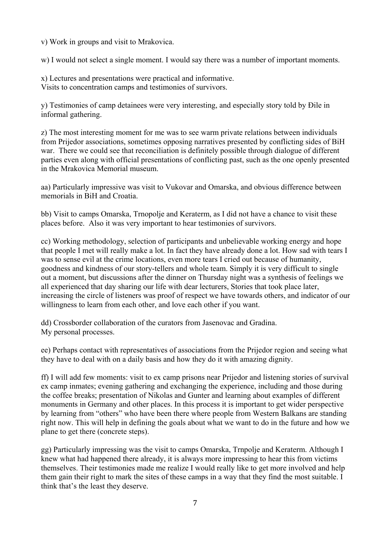v) Work in groups and visit to Mrakovica.

w) I would not select a single moment. I would say there was a number of important moments.

x) Lectures and presentations were practical and informative. Visits to concentration camps and testimonies of survivors.

y) Testimonies of camp detainees were very interesting, and especially story told by Đile in informal gathering.

z) The most interesting moment for me was to see warm private relations between individuals from Prijedor associations, sometimes opposing narratives presented by conflicting sides of BiH war. There we could see that reconciliation is definitely possible through dialogue of different parties even along with official presentations of conflicting past, such as the one openly presented in the Mrakovica Memorial museum.

aa) Particularly impressive was visit to Vukovar and Omarska, and obvious difference between memorials in BiH and Croatia.

bb) Visit to camps Omarska, Trnopolje and Keraterm, as I did not have a chance to visit these places before. Also it was very important to hear testimonies of survivors.

cc) Working methodology, selection of participants and unbelievable working energy and hope that people I met will really make a lot. In fact they have already done a lot. How sad with tears I was to sense evil at the crime locations, even more tears I cried out because of humanity, goodness and kindness of our story-tellers and whole team. Simply it is very difficult to single out a moment, but discussions after the dinner on Thursday night was a synthesis of feelings we all experienced that day sharing our life with dear lecturers, Stories that took place later, increasing the circle of listeners was proof of respect we have towards others, and indicator of our willingness to learn from each other, and love each other if you want.

dd) Crossborder collaboration of the curators from Jasenovac and Gradina. My personal processes.

ee) Perhaps contact with representatives of associations from the Prijedor region and seeing what they have to deal with on a daily basis and how they do it with amazing dignity.

ff) I will add few moments: visit to ex camp prisons near Prijedor and listening stories of survival ex camp inmates; evening gathering and exchanging the experience, including and those during the coffee breaks; presentation of Nikolas and Gunter and learning about examples of different monuments in Germany and other places. In this process it is important to get wider perspective by learning from "others" who have been there where people from Western Balkans are standing right now. This will help in defining the goals about what we want to do in the future and how we plane to get there (concrete steps).

gg) Particularly impressing was the visit to camps Omarska, Trnpolje and Keraterm. Although I knew what had happened there already, it is always more impressing to hear this from victims themselves. Their testimonies made me realize I would really like to get more involved and help them gain their right to mark the sites of these camps in a way that they find the most suitable. I think that's the least they deserve.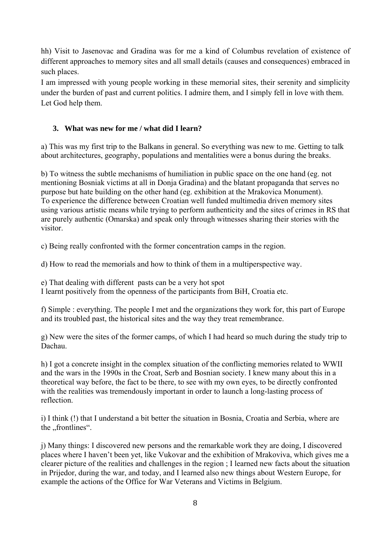hh) Visit to Jasenovac and Gradina was for me a kind of Columbus revelation of existence of different approaches to memory sites and all small details (causes and consequences) embraced in such places.

I am impressed with young people working in these memorial sites, their serenity and simplicity under the burden of past and current politics. I admire them, and I simply fell in love with them. Let God help them.

## **3. What was new for me / what did I learn?**

a) This was my first trip to the Balkans in general. So everything was new to me. Getting to talk about architectures, geography, populations and mentalities were a bonus during the breaks.

b) To witness the subtle mechanisms of humiliation in public space on the one hand (eg. not mentioning Bosniak victims at all in Donja Gradina) and the blatant propaganda that serves no purpose but hate building on the other hand (eg. exhibition at the Mrakovica Monument). To experience the difference between Croatian well funded multimedia driven memory sites using various artistic means while trying to perform authenticity and the sites of crimes in RS that are purely authentic (Omarska) and speak only through witnesses sharing their stories with the visitor.

c) Being really confronted with the former concentration camps in the region.

d) How to read the memorials and how to think of them in a multiperspective way.

I learnt positively from the openness of the participants from BiH, Croatia etc.

f) Simple : everything. The people I met and the organizations they work for, this part of Europe and its troubled past, the historical sites and the way they treat remembrance.

g) New were the sites of the former camps, of which I had heard so much during the study trip to Dachau.

h) I got a concrete insight in the complex situation of the conflicting memories related to WWII and the wars in the 1990s in the Croat, Serb and Bosnian society. I knew many about this in a theoretical way before, the fact to be there, to see with my own eyes, to be directly confronted with the realities was tremendously important in order to launch a long-lasting process of reflection.

i) I think (!) that I understand a bit better the situation in Bosnia, Croatia and Serbia, where are the "frontlines".

j) Many things: I discovered new persons and the remarkable work they are doing, I discovered places where I haven't been yet, like Vukovar and the exhibition of Mrakoviva, which gives me a clearer picture of the realities and challenges in the region ; I learned new facts about the situation in Prijedor, during the war, and today, and I learned also new things about Western Europe, for example the actions of the Office for War Veterans and Victims in Belgium.

e) That dealing with different pasts can be a very hot spot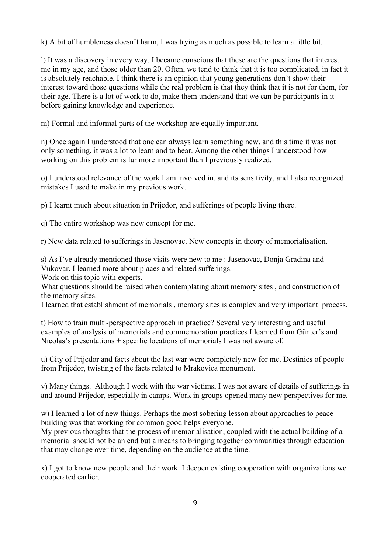k) A bit of humbleness doesn't harm, I was trying as much as possible to learn a little bit.

l) It was a discovery in every way. I became conscious that these are the questions that interest me in my age, and those older than 20. Often, we tend to think that it is too complicated, in fact it is absolutely reachable. I think there is an opinion that young generations don't show their interest toward those questions while the real problem is that they think that it is not for them, for their age. There is a lot of work to do, make them understand that we can be participants in it before gaining knowledge and experience.

m) Formal and informal parts of the workshop are equally important.

n) Once again I understood that one can always learn something new, and this time it was not only something, it was a lot to learn and to hear. Among the other things I understood how working on this problem is far more important than I previously realized.

o) I understood relevance of the work I am involved in, and its sensitivity, and I also recognized mistakes I used to make in my previous work.

p) I learnt much about situation in Prijedor, and sufferings of people living there.

q) The entire workshop was new concept for me.

r) New data related to sufferings in Jasenovac. New concepts in theory of memorialisation.

s) As I've already mentioned those visits were new to me : Jasenovac, Donja Gradina and Vukovar. I learned more about places and related sufferings.

Work on this topic with experts.

What questions should be raised when contemplating about memory sites, and construction of the memory sites.

I learned that establishment of memorials , memory sites is complex and very important process.

t) How to train multi-perspective approach in practice? Several very interesting and useful examples of analysis of memorials and commemoration practices I learned from Günter's and Nicolas's presentations + specific locations of memorials I was not aware of.

u) City of Prijedor and facts about the last war were completely new for me. Destinies of people from Prijedor, twisting of the facts related to Mrakovica monument.

v) Many things. Although I work with the war victims, I was not aware of details of sufferings in and around Prijedor, especially in camps. Work in groups opened many new perspectives for me.

w) I learned a lot of new things. Perhaps the most sobering lesson about approaches to peace building was that working for common good helps everyone.

My previous thoughts that the process of memorialisation, coupled with the actual building of a memorial should not be an end but a means to bringing together communities through education that may change over time, depending on the audience at the time.

x) I got to know new people and their work. I deepen existing cooperation with organizations we cooperated earlier.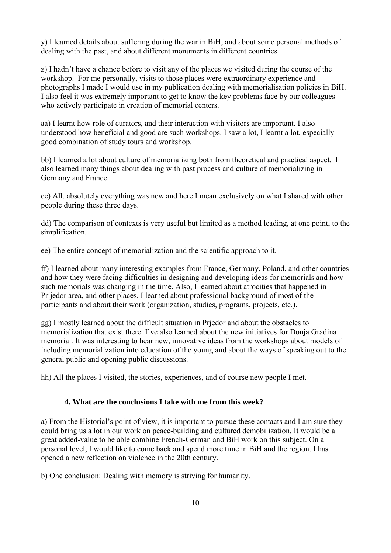y) I learned details about suffering during the war in BiH, and about some personal methods of dealing with the past, and about different monuments in different countries.

z) I hadn't have a chance before to visit any of the places we visited during the course of the workshop. For me personally, visits to those places were extraordinary experience and photographs I made I would use in my publication dealing with memorialisation policies in BiH. I also feel it was extremely important to get to know the key problems face by our colleagues who actively participate in creation of memorial centers.

aa) I learnt how role of curators, and their interaction with visitors are important. I also understood how beneficial and good are such workshops. I saw a lot, I learnt a lot, especially good combination of study tours and workshop.

bb) I learned a lot about culture of memorializing both from theoretical and practical aspect. I also learned many things about dealing with past process and culture of memorializing in Germany and France.

cc) All, absolutely everything was new and here I mean exclusively on what I shared with other people during these three days.

dd) The comparison of contexts is very useful but limited as a method leading, at one point, to the simplification.

ee) The entire concept of memorialization and the scientific approach to it.

ff) I learned about many interesting examples from France, Germany, Poland, and other countries and how they were facing difficulties in designing and developing ideas for memorials and how such memorials was changing in the time. Also, I learned about atrocities that happened in Prijedor area, and other places. I learned about professional background of most of the participants and about their work (organization, studies, programs, projects, etc.).

gg) I mostly learned about the difficult situation in Prjedor and about the obstacles to memorialization that exist there. I've also learned about the new initiatives for Donja Gradina memorial. It was interesting to hear new, innovative ideas from the workshops about models of including memorialization into education of the young and about the ways of speaking out to the general public and opening public discussions.

hh) All the places I visited, the stories, experiences, and of course new people I met.

### **4. What are the conclusions I take with me from this week?**

a) From the Historial's point of view, it is important to pursue these contacts and I am sure they could bring us a lot in our work on peace-building and cultured demobilization. It would be a great added-value to be able combine French-German and BiH work on this subject. On a personal level, I would like to come back and spend more time in BiH and the region. I has opened a new reflection on violence in the 20th century.

b) One conclusion: Dealing with memory is striving for humanity.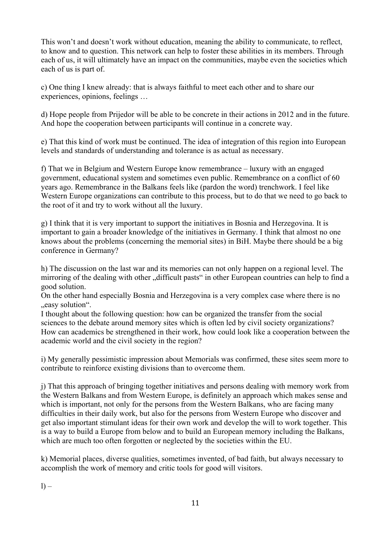This won't and doesn't work without education, meaning the ability to communicate, to reflect, to know and to question. This network can help to foster these abilities in its members. Through each of us, it will ultimately have an impact on the communities, maybe even the societies which each of us is part of.

c) One thing I knew already: that is always faithful to meet each other and to share our experiences, opinions, feelings …

d) Hope people from Prijedor will be able to be concrete in their actions in 2012 and in the future. And hope the cooperation between participants will continue in a concrete way.

e) That this kind of work must be continued. The idea of integration of this region into European levels and standards of understanding and tolerance is as actual as necessary.

f) That we in Belgium and Western Europe know remembrance – luxury with an engaged government, educational system and sometimes even public. Remembrance on a conflict of 60 years ago. Remembrance in the Balkans feels like (pardon the word) trenchwork. I feel like Western Europe organizations can contribute to this process, but to do that we need to go back to the root of it and try to work without all the luxury.

g) I think that it is very important to support the initiatives in Bosnia and Herzegovina. It is important to gain a broader knowledge of the initiatives in Germany. I think that almost no one knows about the problems (concerning the memorial sites) in BiH. Maybe there should be a big conference in Germany?

h) The discussion on the last war and its memories can not only happen on a regional level. The mirroring of the dealing with other "difficult pasts" in other European countries can help to find a good solution.

On the other hand especially Bosnia and Herzegovina is a very complex case where there is no ., easy solution".

I thought about the following question: how can be organized the transfer from the social sciences to the debate around memory sites which is often led by civil society organizations? How can academics be strengthened in their work, how could look like a cooperation between the academic world and the civil society in the region?

i) My generally pessimistic impression about Memorials was confirmed, these sites seem more to contribute to reinforce existing divisions than to overcome them.

j) That this approach of bringing together initiatives and persons dealing with memory work from the Western Balkans and from Western Europe, is definitely an approach which makes sense and which is important, not only for the persons from the Western Balkans, who are facing many difficulties in their daily work, but also for the persons from Western Europe who discover and get also important stimulant ideas for their own work and develop the will to work together. This is a way to build a Europe from below and to build an European memory including the Balkans, which are much too often forgotten or neglected by the societies within the EU.

k) Memorial places, diverse qualities, sometimes invented, of bad faith, but always necessary to accomplish the work of memory and critic tools for good will visitors.

 $l$ ) –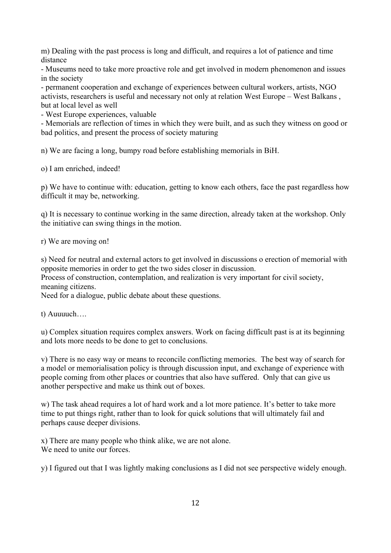m) Dealing with the past process is long and difficult, and requires a lot of patience and time distance

- Museums need to take more proactive role and get involved in modern phenomenon and issues in the society

- permanent cooperation and exchange of experiences between cultural workers, artists, NGO activists, researchers is useful and necessary not only at relation West Europe – West Balkans , but at local level as well

- West Europe experiences, valuable

- Memorials are reflection of times in which they were built, and as such they witness on good or bad politics, and present the process of society maturing

n) We are facing a long, bumpy road before establishing memorials in BiH.

o) I am enriched, indeed!

p) We have to continue with: education, getting to know each others, face the past regardless how difficult it may be, networking.

q) It is necessary to continue working in the same direction, already taken at the workshop. Only the initiative can swing things in the motion.

r) We are moving on!

s) Need for neutral and external actors to get involved in discussions o erection of memorial with opposite memories in order to get the two sides closer in discussion.

Process of construction, contemplation, and realization is very important for civil society, meaning citizens.

Need for a dialogue, public debate about these questions.

t) Auuuuch….

u) Complex situation requires complex answers. Work on facing difficult past is at its beginning and lots more needs to be done to get to conclusions.

v) There is no easy way or means to reconcile conflicting memories. The best way of search for a model or memorialisation policy is through discussion input, and exchange of experience with people coming from other places or countries that also have suffered. Only that can give us another perspective and make us think out of boxes.

w) The task ahead requires a lot of hard work and a lot more patience. It's better to take more time to put things right, rather than to look for quick solutions that will ultimately fail and perhaps cause deeper divisions.

x) There are many people who think alike, we are not alone. We need to unite our forces.

y) I figured out that I was lightly making conclusions as I did not see perspective widely enough.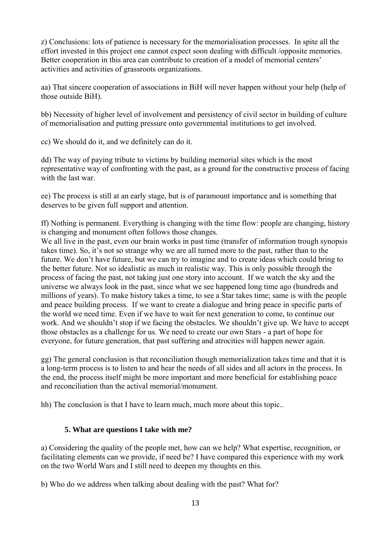z) Conclusions: lots of patience is necessary for the memorialisation processes. In spite all the effort invested in this project one cannot expect soon dealing with difficult /opposite memories. Better cooperation in this area can contribute to creation of a model of memorial centers' activities and activities of grassroots organizations.

aa) That sincere cooperation of associations in BiH will never happen without your help (help of those outside BiH).

bb) Necessity of higher level of involvement and persistency of civil sector in building of culture of memorialisation and putting pressure onto governmental institutions to get involved.

cc) We should do it, and we definitely can do it.

dd) The way of paying tribute to victims by building memorial sites which is the most representative way of confronting with the past, as a ground for the constructive process of facing with the last war

ee) The process is still at an early stage, but is of paramount importance and is something that deserves to be given full support and attention.

ff) Nothing is permanent. Everything is changing with the time flow: people are changing, history is changing and monument often follows those changes.

We all live in the past, even our brain works in past time (transfer of information trough synopsis takes time). So, it's not so strange why we are all turned more to the past, rather than to the future. We don't have future, but we can try to imagine and to create ideas which could bring to the better future. Not so idealistic as much in realistic way. This is only possible through the process of facing the past, not taking just one story into account. If we watch the sky and the universe we always look in the past, since what we see happened long time ago (hundreds and millions of years). To make history takes a time, to see a Star takes time; same is with the people and peace building process. If we want to create a dialogue and bring peace in specific parts of the world we need time. Even if we have to wait for next generation to come, to continue our work. And we shouldn't stop if we facing the obstacles. We shouldn't give up. We have to accept those obstacles as a challenge for us. We need to create our own Stars - a part of hope for everyone, for future generation, that past suffering and atrocities will happen newer again.

gg) The general conclusion is that reconciliation though memorialization takes time and that it is a long-term process is to listen to and hear the needs of all sides and all actors in the process. In the end, the process itself might be more important and more beneficial for establishing peace and reconciliation than the actival memorial/monument.

hh) The conclusion is that I have to learn much, much more about this topic..

#### **5. What are questions I take with me?**

a) Considering the quality of the people met, how can we help? What expertise, recognition, or facilitating elements can we provide, if need be? I have compared this experience with my work on the two World Wars and I still need to deepen my thoughts en this.

b) Who do we address when talking about dealing with the past? What for?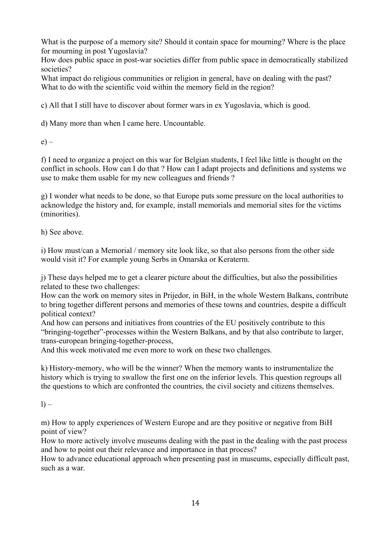What is the purpose of a memory site? Should it contain space for mourning? Where is the place for mourning in post Yugoslavia?

How does public space in post-war societies differ from public space in democratically stabilized societies?

What impact do religious communities or religion in general, have on dealing with the past? What to do with the scientific void within the memory field in the region?

c) All that I still have to discover about former wars in ex Yugoslavia, which is good.

d) Many more than when I came here. Uncountable.

 $e$ ) –

f) I need to organize a project on this war for Belgian students, I feel like little is thought on the conflict in schools. How can I do that ? How can I adapt projects and definitions and systems we use to make them usable for my new colleagues and friends ?

g) I wonder what needs to be done, so that Europe puts some pressure on the local authorities to acknowledge the history and, for example, install memorials and memorial sites for the victims (minorities).

h) See above.

i) How must/can a Memorial / memory site look like, so that also persons from the other side would visit it? For example young Serbs in Omarska or Keraterm.

j) These days helped me to get a clearer picture about the difficulties, but also the possibilities related to these two challenges:

How can the work on memory sites in Prijedor, in BiH, in the whole Western Balkans, contribute to bring together different persons and memories of these towns and countries, despite a difficult political context?

And how can persons and initiatives from countries of the EU positively contribute to this "bringing-together"-processes within the Western Balkans, and by that also contribute to larger, trans-european bringing-together-process,

And this week motivated me even more to work on these two challenges.

k) History-memory, who will be the winner? When the memory wants to instrumentalize the history which is trying to swallow the first one on the inferior levels. This question regroups all the questions to which are confronted the countries, the civil society and citizens themselves.

 $l$ ) –

m) How to apply experiences of Western Europe and are they positive or negative from BiH point of view?

How to more actively involve museums dealing with the past in the dealing with the past process and how to point out their relevance and importance in that process?

How to advance educational approach when presenting past in museums, especially difficult past, such as a war.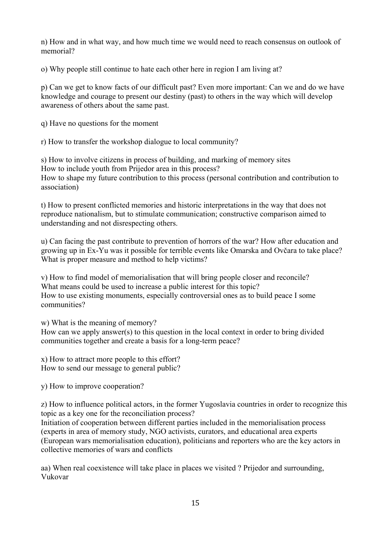n) How and in what way, and how much time we would need to reach consensus on outlook of memorial?

o) Why people still continue to hate each other here in region I am living at?

p) Can we get to know facts of our difficult past? Even more important: Can we and do we have knowledge and courage to present our destiny (past) to others in the way which will develop awareness of others about the same past.

q) Have no questions for the moment

r) How to transfer the workshop dialogue to local community?

s) How to involve citizens in process of building, and marking of memory sites How to include youth from Prijedor area in this process? How to shape my future contribution to this process (personal contribution and contribution to association)

t) How to present conflicted memories and historic interpretations in the way that does not reproduce nationalism, but to stimulate communication; constructive comparison aimed to understanding and not disrespecting others.

u) Can facing the past contribute to prevention of horrors of the war? How after education and growing up in Ex-Yu was it possible for terrible events like Omarska and Ovčara to take place? What is proper measure and method to help victims?

v) How to find model of memorialisation that will bring people closer and reconcile? What means could be used to increase a public interest for this topic? How to use existing monuments, especially controversial ones as to build peace I some communities?

w) What is the meaning of memory?

How can we apply answer(s) to this question in the local context in order to bring divided communities together and create a basis for a long-term peace?

x) How to attract more people to this effort? How to send our message to general public?

y) How to improve cooperation?

z) How to influence political actors, in the former Yugoslavia countries in order to recognize this topic as a key one for the reconciliation process?

Initiation of cooperation between different parties included in the memorialisation process (experts in area of memory study, NGO activists, curators, and educational area experts (European wars memorialisation education), politicians and reporters who are the key actors in collective memories of wars and conflicts

aa) When real coexistence will take place in places we visited ? Prijedor and surrounding, Vukovar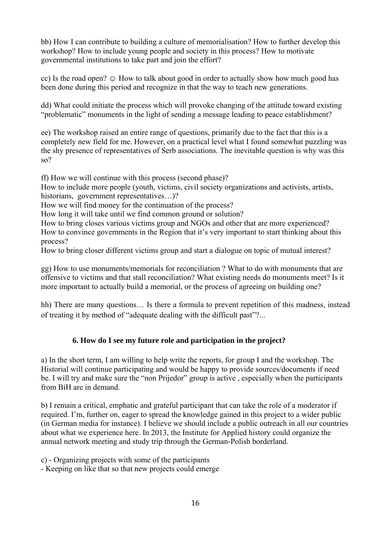bb) How I can contribute to building a culture of memorialisation? How to further develop this workshop? How to include young people and society in this process? How to motivate governmental institutions to take part and join the effort?

cc) Is the road open?  $\odot$  How to talk about good in order to actually show how much good has been done during this period and recognize in that the way to teach new generations.

dd) What could initiate the process which will provoke changing of the attitude toward existing "problematic" monuments in the light of sending a message leading to peace establishment?

ee) The workshop raised an entire range of questions, primarily due to the fact that this is a completely new field for me. However, on a practical level what I found somewhat puzzling was the shy presence of representatives of Serb associations. The inevitable question is why was this so?

ff) How we will continue with this process (second phase)?

How to include more people (youth, victims, civil society organizations and activists, artists, historians, government representatives...)?

How we will find money for the continuation of the process?

How long it will take until we find common ground or solution?

How to bring closes various victims group and NGOs and other that are more experienced? How to convince governments in the Region that it's very important to start thinking about this process?

How to bring closer different victims group and start a dialogue on topic of mutual interest?

gg) How to use monuments/memorials for reconciliation ? What to do with monuments that are offensive to victims and that stall reconciliation? What existing needs do monuments meet? Is it more important to actually build a memorial, or the process of agreeing on building one?

hh) There are many questions... Is there a formula to prevent repetition of this madness, instead of treating it by method of "adequate dealing with the difficult past"?...

## **6. How do I see my future role and participation in the project?**

a) In the short term, I am willing to help write the reports, for group I and the workshop. The Historial will continue participating and would be happy to provide sources/documents if need be. I will try and make sure the "non Prijedor" group is active , especially when the participants from BiH are in demand.

b) I remain a critical, emphatic and grateful participant that can take the role of a moderator if required. I'm, further on, eager to spread the knowledge gained in this project to a wider public (in German media for instance). I believe we should include a public outreach in all our countries about what we experience here. In 2013, the Institute for Applied history could organize the annual network meeting and study trip through the German-Polish borderland.

c) - Organizing projects with some of the participants

- Keeping on like that so that new projects could emerge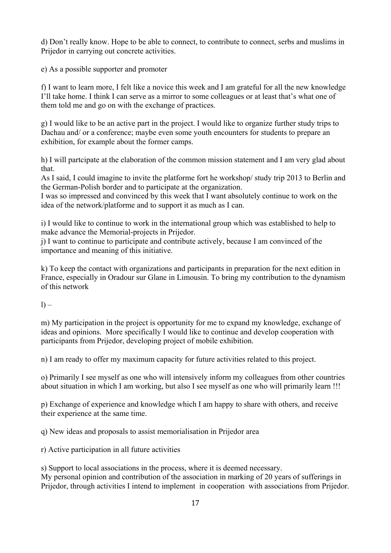d) Don't really know. Hope to be able to connect, to contribute to connect, serbs and muslims in Prijedor in carrying out concrete activities.

e) As a possible supporter and promoter

f) I want to learn more, I felt like a novice this week and I am grateful for all the new knowledge I'll take home. I think I can serve as a mirror to some colleagues or at least that's what one of them told me and go on with the exchange of practices.

g) I would like to be an active part in the project. I would like to organize further study trips to Dachau and/ or a conference; maybe even some youth encounters for students to prepare an exhibition, for example about the former camps.

h) I will partcipate at the elaboration of the common mission statement and I am very glad about that.

As I said, I could imagine to invite the platforme fort he workshop/ study trip 2013 to Berlin and the German-Polish border and to participate at the organization.

I was so impressed and convinced by this week that I want absolutely continue to work on the idea of the network/platforme and to support it as much as I can.

i) I would like to continue to work in the international group which was established to help to make advance the Memorial-projects in Prijedor.

j) I want to continue to participate and contribute actively, because I am convinced of the importance and meaning of this initiative.

k) To keep the contact with organizations and participants in preparation for the next edition in France, especially in Oradour sur Glane in Limousin. To bring my contribution to the dynamism of this network

 $l$ ) –

m) My participation in the project is opportunity for me to expand my knowledge, exchange of ideas and opinions. More specifically I would like to continue and develop cooperation with participants from Prijedor, developing project of mobile exhibition.

n) I am ready to offer my maximum capacity for future activities related to this project.

o) Primarily I see myself as one who will intensively inform my colleagues from other countries about situation in which I am working, but also I see myself as one who will primarily learn !!!

p) Exchange of experience and knowledge which I am happy to share with others, and receive their experience at the same time.

q) New ideas and proposals to assist memorialisation in Prijedor area

r) Active participation in all future activities

s) Support to local associations in the process, where it is deemed necessary. My personal opinion and contribution of the association in marking of 20 years of sufferings in Prijedor, through activities I intend to implement in cooperation with associations from Prijedor.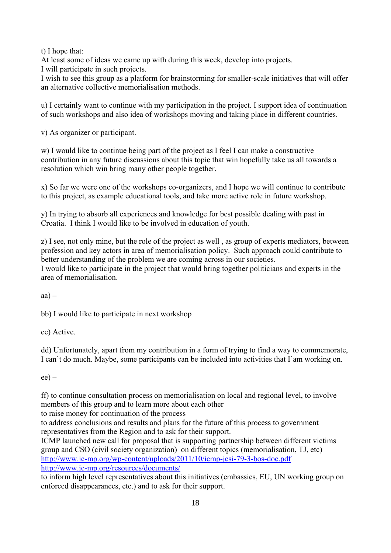t) I hope that:

At least some of ideas we came up with during this week, develop into projects.

I will participate in such projects.

I wish to see this group as a platform for brainstorming for smaller-scale initiatives that will offer an alternative collective memorialisation methods.

u) I certainly want to continue with my participation in the project. I support idea of continuation of such workshops and also idea of workshops moving and taking place in different countries.

v) As organizer or participant.

w) I would like to continue being part of the project as I feel I can make a constructive contribution in any future discussions about this topic that win hopefully take us all towards a resolution which win bring many other people together.

x) So far we were one of the workshops co-organizers, and I hope we will continue to contribute to this project, as example educational tools, and take more active role in future workshop.

y) In trying to absorb all experiences and knowledge for best possible dealing with past in Croatia. I think I would like to be involved in education of youth.

z) I see, not only mine, but the role of the project as well , as group of experts mediators, between profession and key actors in area of memorialisation policy. Such approach could contribute to better understanding of the problem we are coming across in our societies. I would like to participate in the project that would bring together politicians and experts in the area of memorialisation.

 $aa$ ) –

bb) I would like to participate in next workshop

cc) Active.

dd) Unfortunately, apart from my contribution in a form of trying to find a way to commemorate, I can't do much. Maybe, some participants can be included into activities that I'am working on.

 $ee$ ) –

ff) to continue consultation process on memorialisation on local and regional level, to involve members of this group and to learn more about each other

to raise money for continuation of the process

to address conclusions and results and plans for the future of this process to government representatives from the Region and to ask for their support.

ICMP launched new call for proposal that is supporting partnership between different victims group and CSO (civil society organization) on different topics (memorialisation, TJ, etc) http://www.ic-mp.org/wp-content/uploads/2011/10/icmp-jcsi-79-3-bos-doc.pdf http://www.ic-mp.org/resources/documents/

to inform high level representatives about this initiatives (embassies, EU, UN working group on enforced disappearances, etc.) and to ask for their support.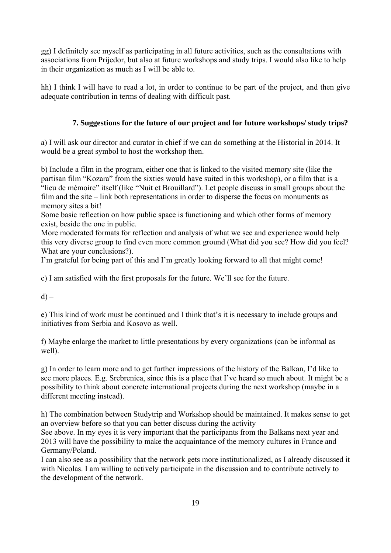gg) I definitely see myself as participating in all future activities, such as the consultations with associations from Prijedor, but also at future workshops and study trips. I would also like to help in their organization as much as I will be able to.

hh) I think I will have to read a lot, in order to continue to be part of the project, and then give adequate contribution in terms of dealing with difficult past.

## **7. Suggestions for the future of our project and for future workshops/ study trips?**

a) I will ask our director and curator in chief if we can do something at the Historial in 2014. It would be a great symbol to host the workshop then.

b) Include a film in the program, either one that is linked to the visited memory site (like the partisan film "Kozara" from the sixties would have suited in this workshop), or a film that is a "lieu de mémoire" itself (like "Nuit et Brouillard"). Let people discuss in small groups about the film and the site – link both representations in order to disperse the focus on monuments as memory sites a bit!

Some basic reflection on how public space is functioning and which other forms of memory exist, beside the one in public.

More moderated formats for reflection and analysis of what we see and experience would help this very diverse group to find even more common ground (What did you see? How did you feel? What are your conclusions?).

I'm grateful for being part of this and I'm greatly looking forward to all that might come!

c) I am satisfied with the first proposals for the future. We'll see for the future.

 $d$ ) –

e) This kind of work must be continued and I think that's it is necessary to include groups and initiatives from Serbia and Kosovo as well.

f) Maybe enlarge the market to little presentations by every organizations (can be informal as well).

g) In order to learn more and to get further impressions of the history of the Balkan, I'd like to see more places. E.g. Srebrenica, since this is a place that I've heard so much about. It might be a possibility to think about concrete international projects during the next workshop (maybe in a different meeting instead).

h) The combination between Studytrip and Workshop should be maintained. It makes sense to get an overview before so that you can better discuss during the activity

See above. In my eyes it is very important that the participants from the Balkans next year and 2013 will have the possibility to make the acquaintance of the memory cultures in France and Germany/Poland.

I can also see as a possibility that the network gets more institutionalized, as I already discussed it with Nicolas. I am willing to actively participate in the discussion and to contribute actively to the development of the network.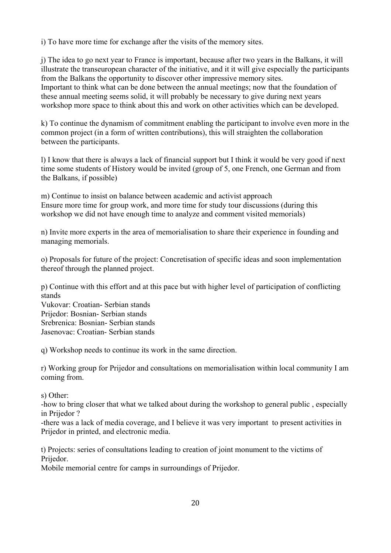i) To have more time for exchange after the visits of the memory sites.

j) The idea to go next year to France is important, because after two years in the Balkans, it will illustrate the transeuropean character of the initiative, and it it will give especially the participants from the Balkans the opportunity to discover other impressive memory sites. Important to think what can be done between the annual meetings; now that the foundation of these annual meeting seems solid, it will probably be necessary to give during next years workshop more space to think about this and work on other activities which can be developed.

k) To continue the dynamism of commitment enabling the participant to involve even more in the common project (in a form of written contributions), this will straighten the collaboration between the participants.

l) I know that there is always a lack of financial support but I think it would be very good if next time some students of History would be invited (group of 5, one French, one German and from the Balkans, if possible)

m) Continue to insist on balance between academic and activist approach Ensure more time for group work, and more time for study tour discussions (during this workshop we did not have enough time to analyze and comment visited memorials)

n) Invite more experts in the area of memorialisation to share their experience in founding and managing memorials.

o) Proposals for future of the project: Concretisation of specific ideas and soon implementation thereof through the planned project.

p) Continue with this effort and at this pace but with higher level of participation of conflicting stands

Vukovar: Croatian- Serbian stands Prijedor: Bosnian- Serbian stands Srebrenica: Bosnian- Serbian stands Jasenovac: Croatian- Serbian stands

q) Workshop needs to continue its work in the same direction.

r) Working group for Prijedor and consultations on memorialisation within local community I am coming from.

s) Other:

-how to bring closer that what we talked about during the workshop to general public , especially in Prijedor ?

-there was a lack of media coverage, and I believe it was very important to present activities in Prijedor in printed, and electronic media.

t) Projects: series of consultations leading to creation of joint monument to the victims of Prijedor.

Mobile memorial centre for camps in surroundings of Prijedor.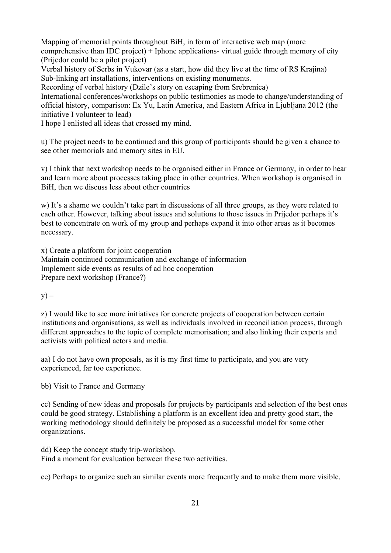Mapping of memorial points throughout BiH, in form of interactive web map (more comprehensive than IDC project) + Iphone applications- virtual guide through memory of city (Prijedor could be a pilot project)

Verbal history of Serbs in Vukovar (as a start, how did they live at the time of RS Krajina) Sub-linking art installations, interventions on existing monuments.

Recording of verbal history (Dzile's story on escaping from Srebrenica)

International conferences/workshops on public testimonies as mode to change/understanding of official history, comparison: Ex Yu, Latin America, and Eastern Africa in Ljubljana 2012 (the initiative I volunteer to lead)

I hope I enlisted all ideas that crossed my mind.

u) The project needs to be continued and this group of participants should be given a chance to see other memorials and memory sites in EU.

v) I think that next workshop needs to be organised either in France or Germany, in order to hear and learn more about processes taking place in other countries. When workshop is organised in BiH, then we discuss less about other countries

w) It's a shame we couldn't take part in discussions of all three groups, as they were related to each other. However, talking about issues and solutions to those issues in Prijedor perhaps it's best to concentrate on work of my group and perhaps expand it into other areas as it becomes necessary.

x) Create a platform for joint cooperation Maintain continued communication and exchange of information Implement side events as results of ad hoc cooperation Prepare next workshop (France?)

 $y$ ) –

z) I would like to see more initiatives for concrete projects of cooperation between certain institutions and organisations, as well as individuals involved in reconciliation process, through different approaches to the topic of complete memorisation; and also linking their experts and activists with political actors and media.

aa) I do not have own proposals, as it is my first time to participate, and you are very experienced, far too experience.

bb) Visit to France and Germany

cc) Sending of new ideas and proposals for projects by participants and selection of the best ones could be good strategy. Establishing a platform is an excellent idea and pretty good start, the working methodology should definitely be proposed as a successful model for some other organizations.

dd) Keep the concept study trip-workshop. Find a moment for evaluation between these two activities.

ee) Perhaps to organize such an similar events more frequently and to make them more visible.